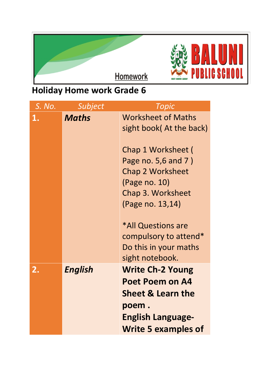

## **Holiday Home work Grade 6**

| S. No. | Subject        | Topic                                                                                                                                         |
|--------|----------------|-----------------------------------------------------------------------------------------------------------------------------------------------|
| 1.     | <b>Maths</b>   | <b>Worksheet of Maths</b><br>sight book(At the back)                                                                                          |
|        |                | Chap 1 Worksheet (<br>Page no. 5,6 and 7)<br><b>Chap 2 Worksheet</b><br>(Page no. 10)<br>Chap 3. Worksheet<br>(Page no. 13,14)                |
|        |                | *All Questions are<br>compulsory to attend*<br>Do this in your maths<br>sight notebook.                                                       |
| 2.     | <b>English</b> | <b>Write Ch-2 Young</b><br>Poet Poem on A4<br><b>Sheet &amp; Learn the</b><br>poem.<br><b>English Language-</b><br><b>Write 5 examples of</b> |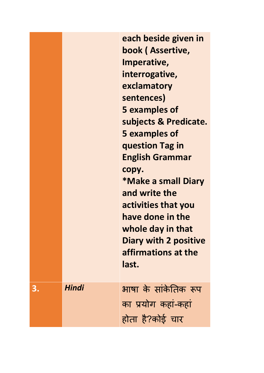|    |       | each beside given in<br>book (Assertive,<br>Imperative,<br>interrogative,<br>exclamatory<br>sentences)<br><b>5 examples of</b><br>subjects & Predicate.<br><b>5 examples of</b><br>question Tag in<br><b>English Grammar</b><br>copy.<br><b>*Make a small Diary</b><br>and write the<br>activities that you<br>have done in the<br>whole day in that<br><b>Diary with 2 positive</b><br>affirmations at the<br>last. |
|----|-------|----------------------------------------------------------------------------------------------------------------------------------------------------------------------------------------------------------------------------------------------------------------------------------------------------------------------------------------------------------------------------------------------------------------------|
| 3. | Hindi | भाषा के सांकेतिक रूप<br>का प्रयोग कहां-कहां<br>होता है?कोई चार                                                                                                                                                                                                                                                                                                                                                       |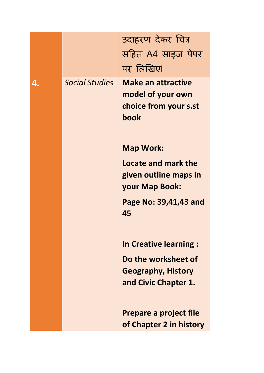|    |                       | उदाहरण देकर चित्र                                                               |
|----|-----------------------|---------------------------------------------------------------------------------|
|    |                       | सहित A4 साइज पेपर                                                               |
|    |                       | पर लिखिए।                                                                       |
| 4. | <b>Social Studies</b> | <b>Make an attractive</b><br>model of your own<br>choice from your s.st<br>book |
|    |                       | <b>Map Work:</b>                                                                |
|    |                       | Locate and mark the<br>given outline maps in<br>your Map Book:                  |
|    |                       | Page No: 39,41,43 and<br>45                                                     |
|    |                       | <b>In Creative learning:</b>                                                    |
|    |                       | Do the worksheet of<br><b>Geography, History</b><br>and Civic Chapter 1.        |
|    |                       | Prepare a project file<br>of Chapter 2 in history                               |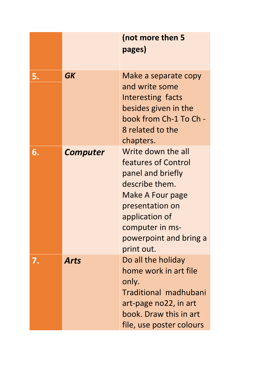|    |                 | (not more then 5<br>pages)                                                                                                                                                                           |
|----|-----------------|------------------------------------------------------------------------------------------------------------------------------------------------------------------------------------------------------|
| 5. | <b>GK</b>       | Make a separate copy<br>and write some<br>Interesting facts<br>besides given in the<br>book from Ch-1 To Ch -<br>8 related to the<br>chapters.                                                       |
| 6. | <b>Computer</b> | Write down the all<br>features of Control<br>panel and briefly<br>describe them.<br>Make A Four page<br>presentation on<br>application of<br>computer in ms-<br>powerpoint and bring a<br>print out. |
| 7. | <b>Arts</b>     | Do all the holiday<br>home work in art file<br>only.<br>Traditional madhubani<br>art-page no22, in art<br>book. Draw this in art<br>file, use poster colours                                         |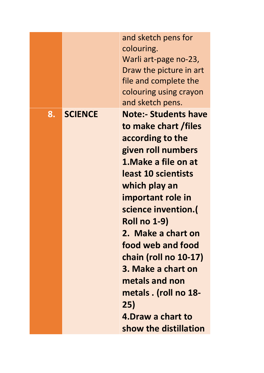|    |                | and sketch pens for<br>colouring.<br>Warli art-page no-23,<br>Draw the picture in art<br>file and complete the<br>colouring using crayon<br>and sketch pens.                                                                                                                                                                                                                                                                 |
|----|----------------|------------------------------------------------------------------------------------------------------------------------------------------------------------------------------------------------------------------------------------------------------------------------------------------------------------------------------------------------------------------------------------------------------------------------------|
| 8. | <b>SCIENCE</b> | <b>Note:- Students have</b><br>to make chart / files<br>according to the<br>given roll numbers<br>1. Make a file on at<br>least 10 scientists<br>which play an<br>important role in<br>science invention.(<br><b>Roll no 1-9)</b><br>2. Make a chart on<br>food web and food<br>chain (roll no 10-17)<br>3. Make a chart on<br>metals and non<br>metals . (roll no 18-<br>25)<br>4. Draw a chart to<br>show the distillation |